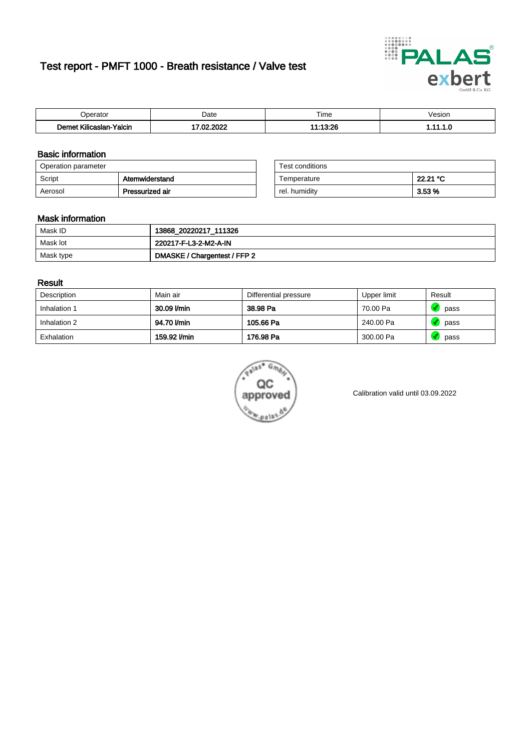# Test report - PMFT 1000 - Breath resistance / Valve test



| )perator                   | Date            | $- \cdot$<br>Гіmе | esion |
|----------------------------|-----------------|-------------------|-------|
| .<br>Yalcin<br>Kilicaslan- | റററ<br>ຸດຕ<br>w | $-12.2c$          | .     |

### Basic information

| Operation parameter |                 | Test conditions |            |
|---------------------|-----------------|-----------------|------------|
| Script              | Atemwiderstand  | Temperature     | 22.21 °C   |
| Aerosol             | Pressurized air | rel. humidity   | $3.53\,\%$ |

| Test conditions |          |
|-----------------|----------|
| Temperature     | 22.21 °C |
| rel. humidity   | 3.53%    |

#### Mask information

| Mask ID   | 13868_20220217_111326        |
|-----------|------------------------------|
| Mask lot  | 220217-F-L3-2-M2-A-IN        |
| Mask type | DMASKE / Chargentest / FFP 2 |

### Result

| Description  | Main air     | Differential pressure | Upper limit | Result |
|--------------|--------------|-----------------------|-------------|--------|
| Inhalation 1 | 30.09 l/min  | 38.98 Pa              | 70.00 Pa    | pass   |
| Inhalation 2 | 94.70 l/min  | 105.66 Pa             | 240.00 Pa   | pass   |
| Exhalation   | 159.92 l/min | 176.98 Pa             | 300.00 Pa   | pass   |



Calibration valid until 03.09.2022